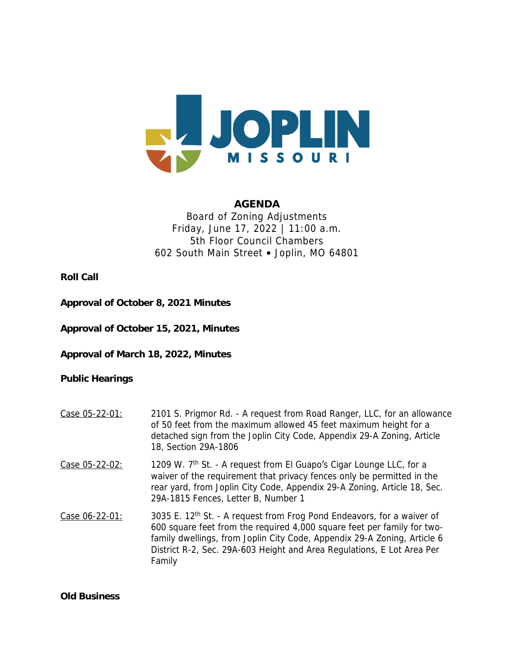

## **AGENDA** Board of Zoning Adjustments Friday, June 17, 2022 | 11:00 a.m. 5th Floor Council Chambers 602 South Main Street • Joplin, MO 64801

**Roll Call**

**Approval of October 8, 2021 Minutes**

**Approval of October 15, 2021, Minutes**

**Approval of March 18, 2022, Minutes**

**Public Hearings**

- Case 05-22-01: 2101 S. Prigmor Rd. A request from Road Ranger, LLC, for an allowance of 50 feet from the maximum allowed 45 feet maximum height for a detached sign from the Joplin City Code, Appendix 29-A Zoning, Article 18, Section 29A-1806
- Case  $05-22-02$ : 1209 W.  $7<sup>th</sup>$  St. A request from El Guapo's Cigar Lounge LLC, for a waiver of the requirement that privacy fences only be permitted in the rear yard, from Joplin City Code, Appendix 29-A Zoning, Article 18, Sec. 29A-1815 Fences, Letter B, Number 1
- Case 06-22-01: 3035 E. 12<sup>th</sup> St. A request from Frog Pond Endeavors, for a waiver of 600 square feet from the required 4,000 square feet per family for twofamily dwellings, from Joplin City Code, Appendix 29-A Zoning, Article 6 District R-2, Sec. 29A-603 Height and Area Regulations, E Lot Area Per Family

**Old Business**